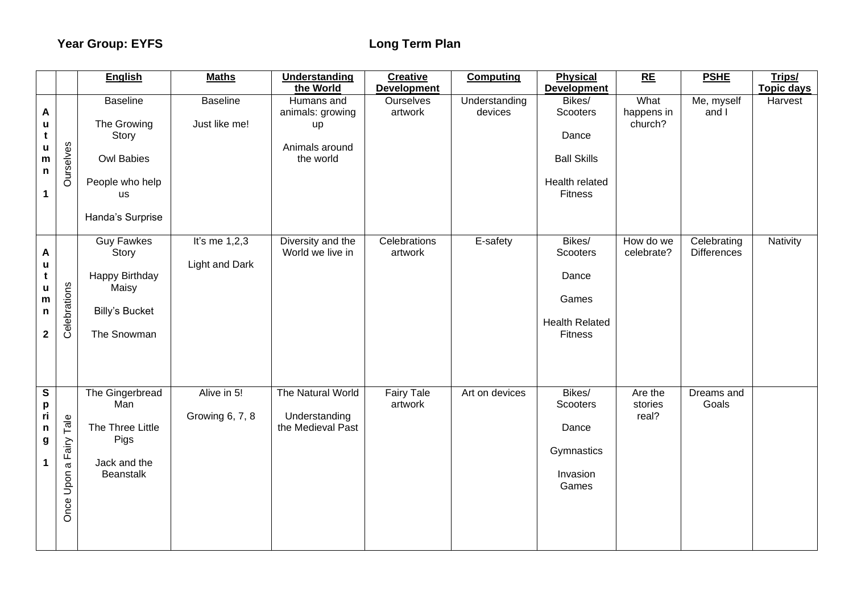|                                                             |                              | <b>English</b>                                                                                                   | <b>Maths</b>                      | Understanding<br>the World                                          | <b>Creative</b><br><b>Development</b> | <b>Computing</b>         | <b>Physical</b><br><b>Development</b>                                           | RE                            | <b>PSHE</b>                       | Trips/<br><b>Topic days</b> |
|-------------------------------------------------------------|------------------------------|------------------------------------------------------------------------------------------------------------------|-----------------------------------|---------------------------------------------------------------------|---------------------------------------|--------------------------|---------------------------------------------------------------------------------|-------------------------------|-----------------------------------|-----------------------------|
| Α<br>u<br>t<br>u<br>${\bf m}$<br>n<br>$\mathbf 1$           | Ourselves                    | <b>Baseline</b><br>The Growing<br>Story<br><b>Owl Babies</b><br>People who help<br><b>us</b><br>Handa's Surprise | <b>Baseline</b><br>Just like me!  | Humans and<br>animals: growing<br>up<br>Animals around<br>the world | Ourselves<br>artwork                  | Understanding<br>devices | Bikes/<br>Scooters<br>Dance<br><b>Ball Skills</b><br>Health related<br>Fitness  | What<br>happens in<br>church? | Me, myself<br>and I               | Harvest                     |
| A<br>u<br>t<br>u<br>${\bf m}$<br>n<br>$\mathbf{2}$          | Celebrations                 | <b>Guy Fawkes</b><br>Story<br>Happy Birthday<br>Maisy<br><b>Billy's Bucket</b><br>The Snowman                    | It's me $1,2,3$<br>Light and Dark | Diversity and the<br>World we live in                               | Celebrations<br>artwork               | E-safety                 | Bikes/<br>Scooters<br>Dance<br>Games<br><b>Health Related</b><br><b>Fitness</b> | How do we<br>celebrate?       | Celebrating<br><b>Differences</b> | Nativity                    |
| $\overline{\mathbf{s}}$<br>p<br>ri<br>n<br>g<br>$\mathbf 1$ | Tale<br>a Fairy<br>Once Upon | The Gingerbread<br>Man<br>The Three Little<br>Pigs<br>Jack and the<br>Beanstalk                                  | Alive in 5!<br>Growing 6, 7, 8    | The Natural World<br>Understanding<br>the Medieval Past             | <b>Fairy Tale</b><br>artwork          | Art on devices           | Bikes/<br>Scooters<br>Dance<br>Gymnastics<br>Invasion<br>Games                  | Are the<br>stories<br>real?   | Dreams and<br>Goals               |                             |